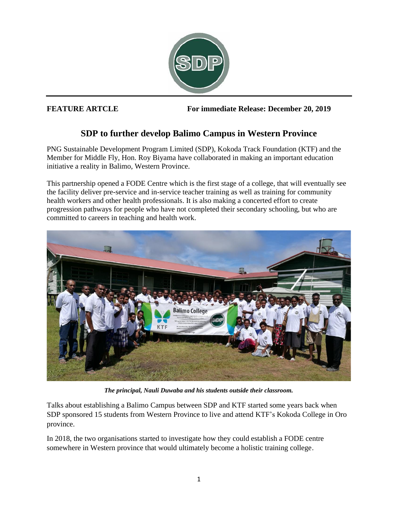

**FEATURE ARTCLE For immediate Release: December 20, 2019**

## **SDP to further develop Balimo Campus in Western Province**

PNG Sustainable Development Program Limited (SDP), Kokoda Track Foundation (KTF) and the Member for Middle Fly, Hon. Roy Biyama have collaborated in making an important education initiative a reality in Balimo, Western Province.

This partnership opened a FODE Centre which is the first stage of a college, that will eventually see the facility deliver pre-service and in-service teacher training as well as training for community health workers and other health professionals. It is also making a concerted effort to create progression pathways for people who have not completed their secondary schooling, but who are committed to careers in teaching and health work.



*The principal, Nauli Duwaba and his students outside their classroom.*

Talks about establishing a Balimo Campus between SDP and KTF started some years back when SDP sponsored 15 students from Western Province to live and attend KTF's Kokoda College in Oro province.

In 2018, the two organisations started to investigate how they could establish a FODE centre somewhere in Western province that would ultimately become a holistic training college.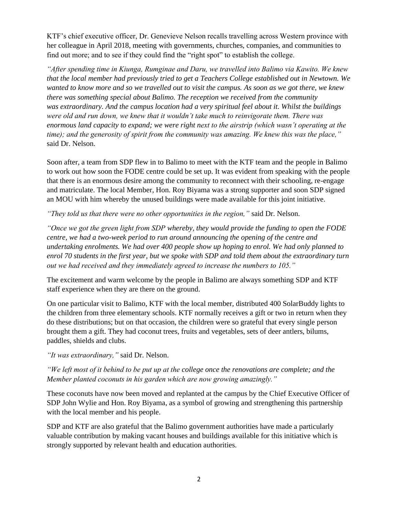KTF's chief executive officer, Dr. Genevieve Nelson recalls travelling across Western province with her colleague in April 2018, meeting with governments, churches, companies, and communities to find out more; and to see if they could find the "right spot" to establish the college.

*"After spending time in Kiunga, Rumginae and Daru, we travelled into Balimo via Kawito. We knew that the local member had previously tried to get a Teachers College established out in Newtown. We wanted to know more and so we travelled out to visit the campus. As soon as we got there, we knew there was something special about Balimo. The reception we received from the community was extraordinary. And the campus location had a very spiritual feel about it. Whilst the buildings were old and run down, we knew that it wouldn't take much to reinvigorate them. There was enormous land capacity to expand; we were right next to the airstrip (which wasn't operating at the time); and the generosity of spirit from the community was amazing. We knew this was the place,"* said Dr. Nelson.

Soon after, a team from SDP flew in to Balimo to meet with the KTF team and the people in Balimo to work out how soon the FODE centre could be set up. It was evident from speaking with the people that there is an enormous desire among the community to reconnect with their schooling, re-engage and matriculate. The local Member, Hon. Roy Biyama was a strong supporter and soon SDP signed an MOU with him whereby the unused buildings were made available for this joint initiative.

*"They told us that there were no other opportunities in the region,"* said Dr. Nelson.

*"Once we got the green light from SDP whereby, they would provide the funding to open the FODE centre, we had a two-week period to run around announcing the opening of the centre and undertaking enrolments. We had over 400 people show up hoping to enrol. We had only planned to enrol 70 students in the first year, but we spoke with SDP and told them about the extraordinary turn out we had received and they immediately agreed to increase the numbers to 105."*

The excitement and warm welcome by the people in Balimo are always something SDP and KTF staff experience when they are there on the ground.

On one particular visit to Balimo, KTF with the local member, distributed 400 SolarBuddy lights to the children from three elementary schools. KTF normally receives a gift or two in return when they do these distributions; but on that occasion, the children were so grateful that every single person brought them a gift. They had coconut trees, fruits and vegetables, sets of deer antlers, bilums, paddles, shields and clubs.

*"It was extraordinary,"* said Dr. Nelson.

*"We left most of it behind to be put up at the college once the renovations are complete; and the Member planted coconuts in his garden which are now growing amazingly."*

These coconuts have now been moved and replanted at the campus by the Chief Executive Officer of SDP John Wylie and Hon. Roy Biyama, as a symbol of growing and strengthening this partnership with the local member and his people.

SDP and KTF are also grateful that the Balimo government authorities have made a particularly valuable contribution by making vacant houses and buildings available for this initiative which is strongly supported by relevant health and education authorities.